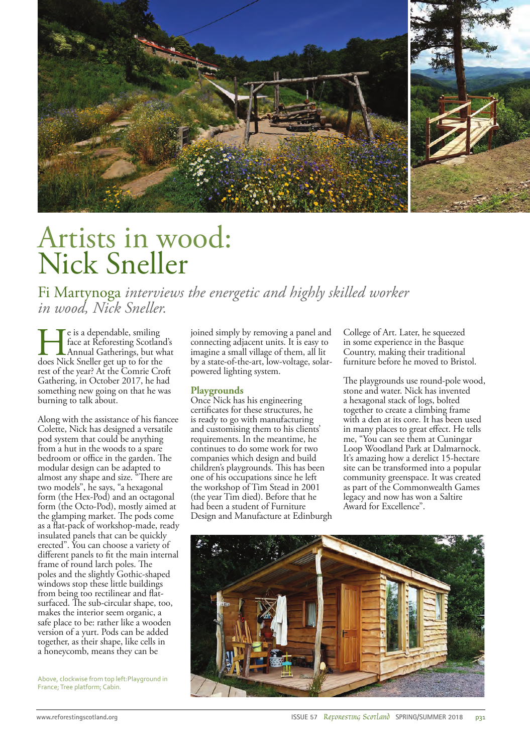

## Artists in wood: Nick Sneller

Fi Martynoga *interviews the energetic and highly skilled worker in wood, Nick Sneller.*

He is a dependable, smiling does Nick Sneller get up to for the face at Reforesting Scotland's Annual Gatherings, but what rest of the year? At the Comrie Croft Gathering, in October 2017, he had something new going on that he was burning to talk about.

Along with the assistance of his fiancee Colette, Nick has designed a versatile pod system that could be anything from a hut in the woods to a spare bedroom or office in the garden. The modular design can be adapted to almost any shape and size. "There are two models", he says, "a hexagonal form (the Hex-Pod) and an octagonal form (the Octo-Pod), mostly aimed at the glamping market. The pods come as a flat-pack of workshop-made, ready insulated panels that can be quickly erected". You can choose a variety of different panels to fit the main internal frame of round larch poles. The poles and the slightly Gothic-shaped windows stop these little buildings from being too rectilinear and flatsurfaced. The sub-circular shape, too, makes the interior seem organic, a safe place to be: rather like a wooden version of a yurt. Pods can be added together, as their shape, like cells in a honeycomb, means they can be

Above, clockwise from top left:Playground in France; Tree platform; Cabin.

joined simply by removing a panel and connecting adjacent units. It is easy to imagine a small village of them, all lit by a state-of-the-art, low-voltage, solarpowered lighting system.

## **Playgrounds**

Once Nick has his engineering certificates for these structures, he is ready to go with manufacturing and customising them to his clients' requirements. In the meantime, he continues to do some work for two companies which design and build children's playgrounds. This has been one of his occupations since he left the workshop of Tim Stead in 2001 (the year Tim died). Before that he had been a student of Furniture Design and Manufacture at Edinburgh College of Art. Later, he squeezed in some experience in the Basque Country, making their traditional furniture before he moved to Bristol.

The playgrounds use round-pole wood, stone and water. Nick has invented a hexagonal stack of logs, bolted together to create a climbing frame with a den at its core. It has been used in many places to great effect. He tells me, "You can see them at Cuningar Loop Woodland Park at Dalmarnock. It's amazing how a derelict 15-hectare site can be transformed into a popular community greenspace. It was created as part of the Commonwealth Games legacy and now has won a Saltire Award for Excellence".